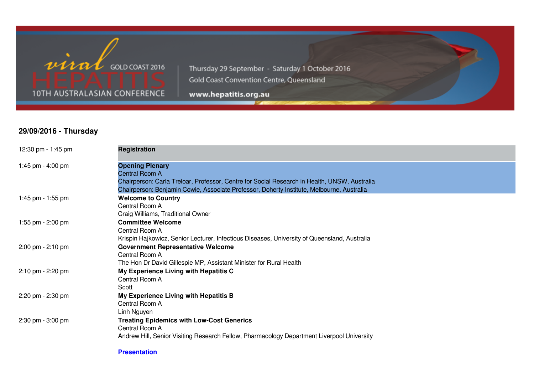

Thursday 29 September - Saturday 1 October 2016 Gold Coast Convention Centre, Queensland

www.hepatitis.org.au

# **29/09/2016 - Thursday**

| 12:30 pm - 1:45 pm | <b>Registration</b>                                                                                                                                                                                                                          |
|--------------------|----------------------------------------------------------------------------------------------------------------------------------------------------------------------------------------------------------------------------------------------|
| 1:45 pm - 4:00 pm  | <b>Opening Plenary</b><br><b>Central Room A</b><br>Chairperson: Carla Treloar, Professor, Centre for Social Research in Health, UNSW, Australia<br>Chairperson: Benjamin Cowie, Associate Professor, Doherty Institute, Melbourne, Australia |
| 1:45 pm - 1:55 pm  | <b>Welcome to Country</b><br>Central Room A<br>Craig Williams, Traditional Owner                                                                                                                                                             |
| 1:55 pm - 2:00 pm  | <b>Committee Welcome</b><br>Central Room A<br>Krispin Hajkowicz, Senior Lecturer, Infectious Diseases, University of Queensland, Australia                                                                                                   |
| 2:00 pm - 2:10 pm  | <b>Government Representative Welcome</b><br>Central Room A<br>The Hon Dr David Gillespie MP, Assistant Minister for Rural Health                                                                                                             |
| 2:10 pm - 2:20 pm  | My Experience Living with Hepatitis C<br>Central Room A<br>Scott                                                                                                                                                                             |
| 2:20 pm - 2:30 pm  | My Experience Living with Hepatitis B<br>Central Room A<br>Linh Nguyen                                                                                                                                                                       |
| 2:30 pm - 3:00 pm  | <b>Treating Epidemics with Low-Cost Generics</b><br>Central Room A<br>Andrew Hill, Senior Visiting Research Fellow, Pharmacology Department Liverpool University                                                                             |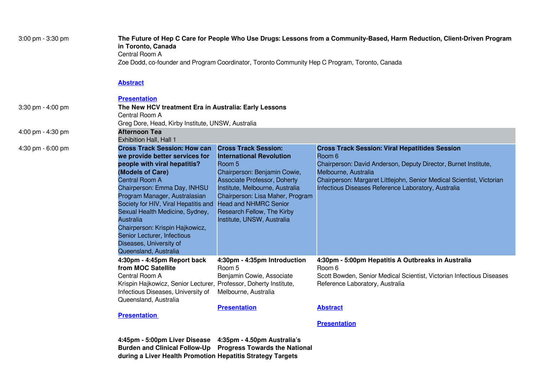| 3:00 pm - 3:30 pm | The Future of Hep C Care for People Who Use Drugs: Lessons from a Community-Based, Harm Reduction, Client-Driven Program<br>in Toronto, Canada<br>Central Room A<br>Zoe Dodd, co-founder and Program Coordinator, Toronto Community Hep C Program, Toronto, Canada                                                                                                                                                                       |                                                                                                                                                                                                                                                                                                                    |                                                                                                                                                                                                                                                                                            |  |  |
|-------------------|------------------------------------------------------------------------------------------------------------------------------------------------------------------------------------------------------------------------------------------------------------------------------------------------------------------------------------------------------------------------------------------------------------------------------------------|--------------------------------------------------------------------------------------------------------------------------------------------------------------------------------------------------------------------------------------------------------------------------------------------------------------------|--------------------------------------------------------------------------------------------------------------------------------------------------------------------------------------------------------------------------------------------------------------------------------------------|--|--|
|                   | <b>Abstract</b>                                                                                                                                                                                                                                                                                                                                                                                                                          |                                                                                                                                                                                                                                                                                                                    |                                                                                                                                                                                                                                                                                            |  |  |
|                   | <b>Presentation</b>                                                                                                                                                                                                                                                                                                                                                                                                                      |                                                                                                                                                                                                                                                                                                                    |                                                                                                                                                                                                                                                                                            |  |  |
| 3:30 pm - 4:00 pm | The New HCV treatment Era in Australia: Early Lessons                                                                                                                                                                                                                                                                                                                                                                                    |                                                                                                                                                                                                                                                                                                                    |                                                                                                                                                                                                                                                                                            |  |  |
|                   | Central Room A                                                                                                                                                                                                                                                                                                                                                                                                                           |                                                                                                                                                                                                                                                                                                                    |                                                                                                                                                                                                                                                                                            |  |  |
|                   | Greg Dore, Head, Kirby Institute, UNSW, Australia                                                                                                                                                                                                                                                                                                                                                                                        |                                                                                                                                                                                                                                                                                                                    |                                                                                                                                                                                                                                                                                            |  |  |
| 4:00 pm - 4:30 pm | <b>Afternoon Tea</b><br>Exhibition Hall, Hall 1                                                                                                                                                                                                                                                                                                                                                                                          |                                                                                                                                                                                                                                                                                                                    |                                                                                                                                                                                                                                                                                            |  |  |
| 4:30 pm - 6:00 pm | <b>Cross Track Session: How can</b><br>we provide better services for<br>people with viral hepatitis?<br>(Models of Care)<br><b>Central Room A</b><br>Chairperson: Emma Day, INHSU<br>Program Manager, Australasian<br>Society for HIV, Viral Hepatitis and<br>Sexual Health Medicine, Sydney,<br><b>Australia</b><br>Chairperson: Krispin Hajkowicz,<br>Senior Lecturer, Infectious<br>Diseases, University of<br>Queensland, Australia | <b>Cross Track Session:</b><br><b>International Revolution</b><br>Room 5<br>Chairperson: Benjamin Cowie,<br><b>Associate Professor, Doherty</b><br>Institute, Melbourne, Australia<br>Chairperson: Lisa Maher, Program<br><b>Head and NHMRC Senior</b><br>Research Fellow, The Kirby<br>Institute, UNSW, Australia | <b>Cross Track Session: Viral Hepatitides Session</b><br>Room 6<br>Chairperson: David Anderson, Deputy Director, Burnet Institute,<br>Melbourne, Australia<br>Chairperson: Margaret Littlejohn, Senior Medical Scientist, Victorian<br>Infectious Diseases Reference Laboratory, Australia |  |  |
|                   | 4:30pm - 4:45pm Report back<br>from MOC Satellite<br>Central Room A<br>Krispin Hajkowicz, Senior Lecturer, Professor, Doherty Institute,<br>Infectious Diseases, University of<br>Queensland, Australia                                                                                                                                                                                                                                  | 4:30pm - 4:35pm Introduction<br>Room 5<br>Benjamin Cowie, Associate<br>Melbourne, Australia<br><b>Presentation</b>                                                                                                                                                                                                 | 4:30pm - 5:00pm Hepatitis A Outbreaks in Australia<br>Room 6<br>Scott Bowden, Senior Medical Scientist, Victorian Infectious Diseases<br>Reference Laboratory, Australia<br><b>Abstract</b>                                                                                                |  |  |
|                   | <b>Presentation</b>                                                                                                                                                                                                                                                                                                                                                                                                                      |                                                                                                                                                                                                                                                                                                                    |                                                                                                                                                                                                                                                                                            |  |  |
|                   |                                                                                                                                                                                                                                                                                                                                                                                                                                          |                                                                                                                                                                                                                                                                                                                    | <b>Presentation</b>                                                                                                                                                                                                                                                                        |  |  |
|                   |                                                                                                                                                                                                                                                                                                                                                                                                                                          |                                                                                                                                                                                                                                                                                                                    |                                                                                                                                                                                                                                                                                            |  |  |

**4:45pm - 5:00pm Liver Disease Burden and Clinical Follow-Up during a Liver Health Promotion 4:35pm - 4.50pm Australia's Progress Towards the National Hepatitis Strategy Targets**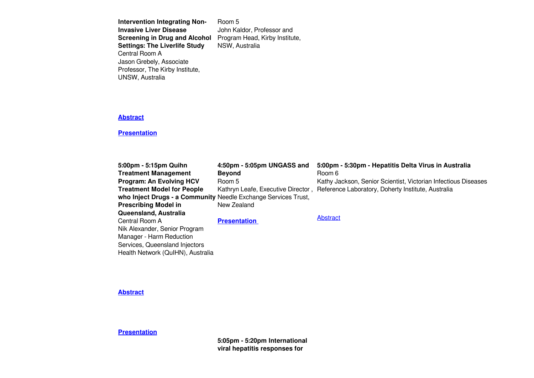**Intervention Integrating Non-Invasive Liver Disease Screening in Drug and Alcohol** Program Head, Kirby Institute, **Settings: The Liverlife Study** Central Room A Jason Grebely, Associate Professor, The Kirby Institute, UNSW, Australia Room 5 NSW, Australia

John Kaldor, Professor and

#### **[Abstract](https://www.eiseverywhere.com/file_uploads/461201f1a75d38036f45a974c32f8487_097_JasonGrebely.pdf)**

#### **[Presentation](https://www.eiseverywhere.com/file_uploads/25bcd3392946d5543e5d084932a7e2d1_1645ThuJasonGrebely_vMay.pdf)**

| 5:00pm - 5:15pm Quihn                                          | 4:50pm - 5:05pm UNGASS and | 5:00pm - 5:30pm - Hepatitis Delta Virus in Australia                                  |
|----------------------------------------------------------------|----------------------------|---------------------------------------------------------------------------------------|
| <b>Treatment Management</b>                                    | <b>Beyond</b>              | Room 6                                                                                |
| <b>Program: An Evolving HCV</b>                                | Room 5                     | Kathy Jackson, Senior Scientist, Victorian Infectious Diseases                        |
| <b>Treatment Model for People</b>                              |                            | Kathryn Leafe, Executive Director, Reference Laboratory, Doherty Institute, Australia |
| who Inject Drugs - a Community Needle Exchange Services Trust, |                            |                                                                                       |
| <b>Prescribing Model in</b>                                    | New Zealand                |                                                                                       |
| Queensland, Australia                                          |                            |                                                                                       |
| Central Room A                                                 | <b>Presentation</b>        | Abstract                                                                              |
| Nik Alexander, Senior Program                                  |                            |                                                                                       |
| Manager - Harm Reduction                                       |                            |                                                                                       |
| Services, Queensland Injectors                                 |                            |                                                                                       |
| Health Network (QuIHN), Australia                              |                            |                                                                                       |

**[Abstract](https://www.eiseverywhere.com/file_uploads/c11bc76c36cff41eb075aec68bd503ff_148_NikAlexander.pdf)**

**[Presentation](https://www.eiseverywhere.com/file_uploads/16de5329367b9548beb3a305fcf35c3d_1700ThuNikAlexander_vMay.pdf)**

**5:05pm - 5:20pm International viral hepatitis responses for**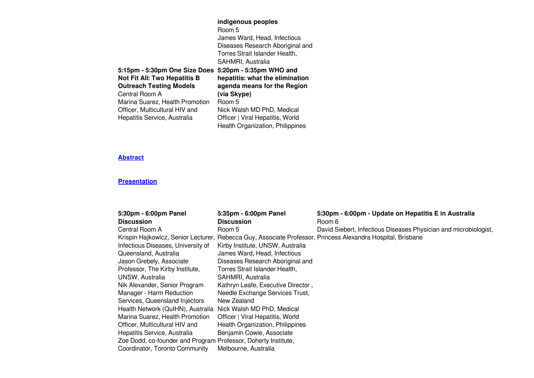|                                     | indigenous peoples                      |
|-------------------------------------|-----------------------------------------|
|                                     | Room 5                                  |
|                                     | James Ward, Head, Infectious            |
|                                     | Diseases Research Aboriginal and        |
|                                     | Torres Strait Islander Health,          |
|                                     | SAHMRI, Australia                       |
| 5:15pm - 5:30pm One Size Does       | 5:20pm - 5:35pm WHO and                 |
| <b>Not Fit All: Two Hepatitis B</b> | hepatitis: what the elimination         |
| <b>Outreach Testing Models</b>      | agenda means for the Region             |
| Central Room A                      | (via Skype)                             |
| Marina Suarez, Health Promotion     | Room 5                                  |
| Officer, Multicultural HIV and      | Nick Walsh MD PhD, Medical              |
| Hepatitis Service, Australia        | Officer   Viral Hepatitis, World        |
|                                     | <b>Health Organization, Philippines</b> |
|                                     |                                         |

| 5:30pm - 6:00pm Panel                                          | 5:35pm - 6:00pm Panel              | 5:30pm - 6:00pm - Update on Hepatitis E in Australia                                                        |
|----------------------------------------------------------------|------------------------------------|-------------------------------------------------------------------------------------------------------------|
| <b>Discussion</b>                                              | <b>Discussion</b>                  | Room 6                                                                                                      |
| Central Room A                                                 | Room 5                             | David Siebert, Infectious Diseases Physician and microbiologist,                                            |
|                                                                |                                    | Krispin Hajkowicz, Senior Lecturer, Rebecca Guy, Associate Professor, Princess Alexandra Hospital, Brisbane |
| Infectious Diseases, University of                             | Kirby Institute, UNSW, Australia   |                                                                                                             |
| Queensland, Australia                                          | James Ward, Head, Infectious       |                                                                                                             |
| Jason Grebely, Associate                                       | Diseases Research Aboriginal and   |                                                                                                             |
| Professor, The Kirby Institute,                                | Torres Strait Islander Health,     |                                                                                                             |
| UNSW, Australia                                                | SAHMRI, Australia                  |                                                                                                             |
| Nik Alexander, Senior Program                                  | Kathryn Leafe, Executive Director, |                                                                                                             |
| Manager - Harm Reduction                                       | Needle Exchange Services Trust,    |                                                                                                             |
| Services, Queensland Injectors                                 | New Zealand                        |                                                                                                             |
| Health Network (QuIHN), Australia                              | Nick Walsh MD PhD, Medical         |                                                                                                             |
| Marina Suarez, Health Promotion                                | Officer   Viral Hepatitis, World   |                                                                                                             |
| Officer, Multicultural HIV and                                 | Health Organization, Philippines   |                                                                                                             |
| Hepatitis Service, Australia                                   | Benjamin Cowie, Associate          |                                                                                                             |
| Zoe Dodd, co-founder and Program Professor, Doherty Institute, |                                    |                                                                                                             |
| Coordinator, Toronto Community                                 | Melbourne, Australia               |                                                                                                             |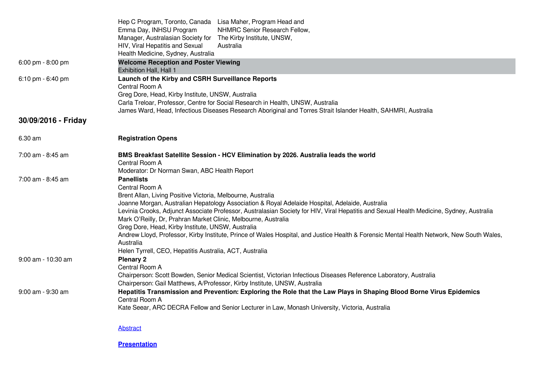|                      | Hep C Program, Toronto, Canada Lisa Maher, Program Head and                                                                                            |
|----------------------|--------------------------------------------------------------------------------------------------------------------------------------------------------|
|                      | Emma Day, INHSU Program<br>NHMRC Senior Research Fellow,                                                                                               |
|                      | Manager, Australasian Society for The Kirby Institute, UNSW,<br>Australia                                                                              |
|                      | HIV, Viral Hepatitis and Sexual<br>Health Medicine, Sydney, Australia                                                                                  |
| 6:00 pm - 8:00 pm    | <b>Welcome Reception and Poster Viewing</b>                                                                                                            |
|                      | <b>Exhibition Hall, Hall 1</b>                                                                                                                         |
| 6:10 pm - 6:40 pm    | Launch of the Kirby and CSRH Surveillance Reports                                                                                                      |
|                      | Central Room A                                                                                                                                         |
|                      | Greg Dore, Head, Kirby Institute, UNSW, Australia                                                                                                      |
|                      | Carla Treloar, Professor, Centre for Social Research in Health, UNSW, Australia                                                                        |
|                      | James Ward, Head, Infectious Diseases Research Aboriginal and Torres Strait Islander Health, SAHMRI, Australia                                         |
| 30/09/2016 - Friday  |                                                                                                                                                        |
| 6.30 am              | <b>Registration Opens</b>                                                                                                                              |
| 7:00 am - 8:45 am    | BMS Breakfast Satellite Session - HCV Elimination by 2026. Australia leads the world                                                                   |
|                      | Central Room A                                                                                                                                         |
|                      | Moderator: Dr Norman Swan, ABC Health Report                                                                                                           |
| 7:00 am - 8:45 am    | <b>Panellists</b>                                                                                                                                      |
|                      | Central Room A                                                                                                                                         |
|                      | Brent Allan, Living Positive Victoria, Melbourne, Australia                                                                                            |
|                      | Joanne Morgan, Australian Hepatology Association & Royal Adelaide Hospital, Adelaide, Australia                                                        |
|                      | Levinia Crooks, Adjunct Associate Professor, Australasian Society for HIV, Viral Hepatitis and Sexual Health Medicine, Sydney, Australia               |
|                      | Mark O'Reilly, Dr, Prahran Market Clinic, Melbourne, Australia                                                                                         |
|                      | Greg Dore, Head, Kirby Institute, UNSW, Australia                                                                                                      |
|                      | Andrew Lloyd, Professor, Kirby Institute, Prince of Wales Hospital, and Justice Health & Forensic Mental Health Network, New South Wales,<br>Australia |
|                      | Helen Tyrrell, CEO, Hepatitis Australia, ACT, Australia                                                                                                |
| $9:00$ am - 10:30 am | <b>Plenary 2</b>                                                                                                                                       |
|                      | Central Room A                                                                                                                                         |
|                      | Chairperson: Scott Bowden, Senior Medical Scientist, Victorian Infectious Diseases Reference Laboratory, Australia                                     |
|                      | Chairperson: Gail Matthews, A/Professor, Kirby Institute, UNSW, Australia                                                                              |
| 9:00 am - 9:30 am    | Hepatitis Transmission and Prevention: Exploring the Role that the Law Plays in Shaping Blood Borne Virus Epidemics                                    |
|                      | Central Room A                                                                                                                                         |
|                      | Kate Seear, ARC DECRA Fellow and Senior Lecturer in Law, Monash University, Victoria, Australia                                                        |
|                      | Abstract                                                                                                                                               |
|                      |                                                                                                                                                        |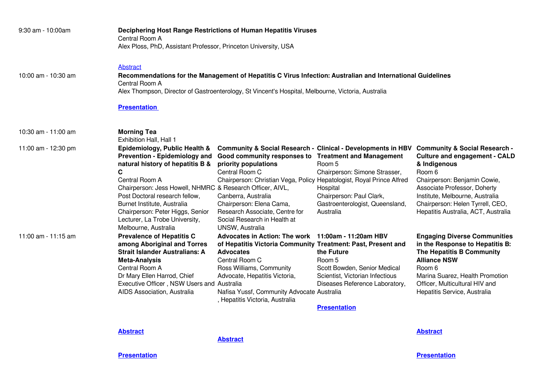| 9:30 am - 10:00am   | Central Room A<br>Alex Ploss, PhD, Assistant Professor, Princeton University, USA                                                                                                                                                                                                                                                                            | Deciphering Host Range Restrictions of Human Hepatitis Viruses                                                                                                                                                                                                                                                  |                                                                                                                                                                                                            |                                                                                                                                                                                                                                                                                          |
|---------------------|--------------------------------------------------------------------------------------------------------------------------------------------------------------------------------------------------------------------------------------------------------------------------------------------------------------------------------------------------------------|-----------------------------------------------------------------------------------------------------------------------------------------------------------------------------------------------------------------------------------------------------------------------------------------------------------------|------------------------------------------------------------------------------------------------------------------------------------------------------------------------------------------------------------|------------------------------------------------------------------------------------------------------------------------------------------------------------------------------------------------------------------------------------------------------------------------------------------|
| 10:00 am - 10:30 am | <b>Abstract</b><br>Central Room A                                                                                                                                                                                                                                                                                                                            | Recommendations for the Management of Hepatitis C Virus Infection: Australian and International Guidelines<br>Alex Thompson, Director of Gastroenterology, St Vincent's Hospital, Melbourne, Victoria, Australia                                                                                                |                                                                                                                                                                                                            |                                                                                                                                                                                                                                                                                          |
|                     | <b>Presentation</b>                                                                                                                                                                                                                                                                                                                                          |                                                                                                                                                                                                                                                                                                                 |                                                                                                                                                                                                            |                                                                                                                                                                                                                                                                                          |
| 10:30 am - 11:00 am | <b>Morning Tea</b><br>Exhibition Hall, Hall 1                                                                                                                                                                                                                                                                                                                |                                                                                                                                                                                                                                                                                                                 |                                                                                                                                                                                                            |                                                                                                                                                                                                                                                                                          |
| 11:00 am - 12:30 pm | Epidemiology, Public Health &<br><b>Prevention - Epidemiology and</b><br>natural history of hepatitis B &<br>C<br>Central Room A<br>Chairperson: Jess Howell, NHMRC & Research Officer, AIVL,<br>Post Doctoral research fellow,<br>Burnet Institute, Australia<br>Chairperson: Peter Higgs, Senior<br>Lecturer, La Trobe University,<br>Melbourne, Australia | Good community responses to Treatment and Management<br>priority populations<br>Central Room C<br>Chairperson: Christian Vega, Policy Hepatologist, Royal Prince Alfred<br>Canberra, Australia<br>Chairperson: Elena Cama,<br>Research Associate, Centre for<br>Social Research in Health at<br>UNSW, Australia | <b>Community &amp; Social Research - Clinical - Developments in HBV</b><br>Room 5<br>Chairperson: Simone Strasser,<br>Hospital<br>Chairperson: Paul Clark,<br>Gastroenterologist, Queensland,<br>Australia | <b>Community &amp; Social Research -</b><br><b>Culture and engagement - CALD</b><br>& Indigenous<br>Room 6<br>Chairperson: Benjamin Cowie,<br>Associate Professor, Doherty<br>Institute, Melbourne, Australia<br>Chairperson: Helen Tyrrell, CEO,<br>Hepatitis Australia, ACT, Australia |
| 11:00 am - 11:15 am | <b>Prevalence of Hepatitis C</b><br>among Aboriginal and Torres<br><b>Strait Islander Australians: A</b><br><b>Meta-Analysis</b><br>Central Room A<br>Dr Mary Ellen Harrod, Chief<br>Executive Officer, NSW Users and Australia<br>AIDS Association, Australia                                                                                               | Advocates in Action: The work 11:00am - 11:20am HBV<br>of Hepatitis Victoria Community Treatment: Past, Present and<br><b>Advocates</b><br>Central Room C<br>Ross Williams, Community<br>Advocate, Hepatitis Victoria,<br>Nafisa Yussf, Community Advocate Australia<br>, Hepatitis Victoria, Australia         | the Future<br>Room 5<br>Scott Bowden, Senior Medical<br>Scientist, Victorian Infectious<br>Diseases Reference Laboratory,<br><b>Presentation</b>                                                           | <b>Engaging Diverse Communities</b><br>in the Response to Hepatitis B:<br>The Hepatitis B Community<br><b>Alliance NSW</b><br>Room 6<br>Marina Suarez, Health Promotion<br>Officer, Multicultural HIV and<br>Hepatitis Service, Australia                                                |

**[Abstract](https://www.eiseverywhere.com/file_uploads/6d02b60a835dd7609d5ef992ee4ef7b3_092_NatalieBeckett.pdf)**

**[Abstract](https://www.eiseverywhere.com/file_uploads/ffd9c53d0297808d5300ac2e64781828_108_MarinaSuarez.pdf)**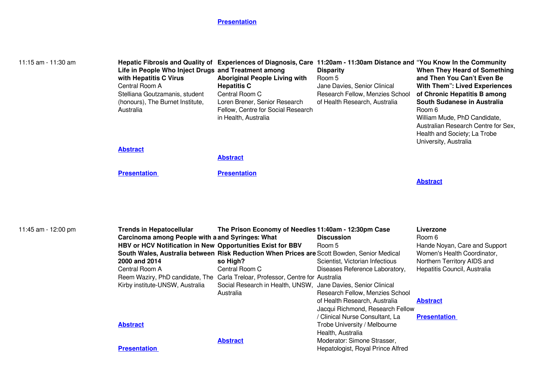| 11:15 am - 11:30 am | Life in People Who Inject Drugs and Treatment among<br>with Hepatitis C Virus<br>Central Room A<br>Stelliana Goutzamanis, student<br>(honours), The Burnet Institute,<br>Australia                                      | <b>Aboriginal People Living with</b><br><b>Hepatitis C</b><br>Central Room C<br>Loren Brener, Senior Research<br>Fellow, Centre for Social Research<br>in Health, Australia                                                                                                                                                         | Hepatic Fibrosis and Quality of Experiences of Diagnosis, Care 11:20am - 11:30am Distance and "You Know In the Community<br><b>Disparity</b><br>Room 5<br>Jane Davies, Senior Clinical<br>Research Fellow, Menzies School<br>of Health Research, Australia       | When They Heard of Something<br>and Then You Can't Even Be<br><b>With Them": Lived Experiences</b><br>of Chronic Hepatitis B among<br>South Sudanese in Australia<br>Room 6<br>William Mude, PhD Candidate,<br>Australian Research Centre for Sex,<br>Health and Society; La Trobe<br>University, Australia |
|---------------------|-------------------------------------------------------------------------------------------------------------------------------------------------------------------------------------------------------------------------|-------------------------------------------------------------------------------------------------------------------------------------------------------------------------------------------------------------------------------------------------------------------------------------------------------------------------------------|------------------------------------------------------------------------------------------------------------------------------------------------------------------------------------------------------------------------------------------------------------------|-------------------------------------------------------------------------------------------------------------------------------------------------------------------------------------------------------------------------------------------------------------------------------------------------------------|
|                     | <b>Abstract</b>                                                                                                                                                                                                         | <b>Abstract</b>                                                                                                                                                                                                                                                                                                                     |                                                                                                                                                                                                                                                                  |                                                                                                                                                                                                                                                                                                             |
|                     | <b>Presentation</b>                                                                                                                                                                                                     | <b>Presentation</b>                                                                                                                                                                                                                                                                                                                 |                                                                                                                                                                                                                                                                  | <b>Abstract</b>                                                                                                                                                                                                                                                                                             |
| 11:45 am - 12:00 pm | <b>Trends in Hepatocellular</b><br>Carcinoma among People with a and Syringes: What<br>HBV or HCV Notification in New Opportunities Exist for BBV<br>2000 and 2014<br>Central Room A<br>Kirby institute-UNSW, Australia | The Prison Economy of Needles 11:40am - 12:30pm Case<br>South Wales, Australia between Risk Reduction When Prices are Scott Bowden, Senior Medical<br>so High?<br>Central Room C<br>Reem Waziry, PhD candidate, The Carla Treloar, Professor, Centre for Australia<br>Social Research in Health, UNSW, Jane Davies, Senior Clinical | <b>Discussion</b><br>Room 5<br>Scientist, Victorian Infectious<br>Diseases Reference Laboratory,                                                                                                                                                                 | Liverzone<br>Room 6<br>Hande Noyan, Care and Support<br>Women's Health Coordinator,<br>Northern Territory AIDS and<br>Hepatitis Council, Australia                                                                                                                                                          |
|                     | <b>Abstract</b><br><b>Presentation</b>                                                                                                                                                                                  | Australia<br><b>Abstract</b>                                                                                                                                                                                                                                                                                                        | Research Fellow, Menzies School<br>of Health Research, Australia<br>Jacqui Richmond, Research Fellow<br>/ Clinical Nurse Consultant, La<br>Trobe University / Melbourne<br>Health, Australia<br>Moderator: Simone Strasser,<br>Hepatologist, Royal Prince Alfred | <b>Abstract</b><br><b>Presentation</b>                                                                                                                                                                                                                                                                      |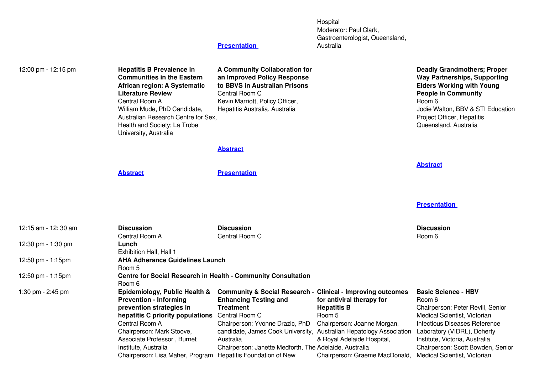Hospital Moderator: Paul Clark, Gastroenterologist, Queensland, Australia

| 12:00 pm - 12:15 pm | <b>Hepatitis B Prevalence in</b><br><b>Communities in the Eastern</b><br>African region: A Systematic<br><b>Literature Review</b><br>Central Room A<br>William Mude, PhD Candidate,<br>Australian Research Centre for Sex,<br>Health and Society; La Trobe<br>University, Australia                                 | A Community Collaboration for<br>an Improved Policy Response<br>to BBVS in Australian Prisons<br>Central Room C<br>Kevin Marriott, Policy Officer,<br>Hepatitis Australia, Australia                                                                                                                        |                                                                                                                                                          | <b>Deadly Grandmothers; Proper</b><br><b>Way Partnerships, Supporting</b><br><b>Elders Working with Young</b><br><b>People in Community</b><br>Room 6<br>Jodie Walton, BBV & STI Education<br>Project Officer, Hepatitis<br>Queensland, Australia                                       |
|---------------------|---------------------------------------------------------------------------------------------------------------------------------------------------------------------------------------------------------------------------------------------------------------------------------------------------------------------|-------------------------------------------------------------------------------------------------------------------------------------------------------------------------------------------------------------------------------------------------------------------------------------------------------------|----------------------------------------------------------------------------------------------------------------------------------------------------------|-----------------------------------------------------------------------------------------------------------------------------------------------------------------------------------------------------------------------------------------------------------------------------------------|
|                     |                                                                                                                                                                                                                                                                                                                     | <b>Abstract</b>                                                                                                                                                                                                                                                                                             |                                                                                                                                                          |                                                                                                                                                                                                                                                                                         |
|                     | <b>Abstract</b>                                                                                                                                                                                                                                                                                                     | <b>Presentation</b>                                                                                                                                                                                                                                                                                         |                                                                                                                                                          | <b>Abstract</b>                                                                                                                                                                                                                                                                         |
|                     |                                                                                                                                                                                                                                                                                                                     |                                                                                                                                                                                                                                                                                                             |                                                                                                                                                          | <b>Presentation</b>                                                                                                                                                                                                                                                                     |
| 12:15 am - 12:30 am | <b>Discussion</b><br>Central Room A                                                                                                                                                                                                                                                                                 | <b>Discussion</b><br>Central Room C                                                                                                                                                                                                                                                                         |                                                                                                                                                          | <b>Discussion</b><br>Room 6                                                                                                                                                                                                                                                             |
| 12:30 pm - 1:30 pm  | Lunch<br>Exhibition Hall, Hall 1                                                                                                                                                                                                                                                                                    |                                                                                                                                                                                                                                                                                                             |                                                                                                                                                          |                                                                                                                                                                                                                                                                                         |
| 12:50 pm - 1:15pm   | <b>AHA Adherance Guidelines Launch</b><br>Room 5                                                                                                                                                                                                                                                                    |                                                                                                                                                                                                                                                                                                             |                                                                                                                                                          |                                                                                                                                                                                                                                                                                         |
| 12:50 pm - 1:15pm   | Room 6                                                                                                                                                                                                                                                                                                              | <b>Centre for Social Research in Health - Community Consultation</b>                                                                                                                                                                                                                                        |                                                                                                                                                          |                                                                                                                                                                                                                                                                                         |
| 1:30 pm - 2:45 pm   | Epidemiology, Public Health &<br><b>Prevention - Informing</b><br>prevention strategies in<br>hepatitis C priority populations Central Room C<br>Central Room A<br>Chairperson: Mark Stoove,<br>Associate Professor, Burnet<br>Institute, Australia<br>Chairperson: Lisa Maher, Program Hepatitis Foundation of New | <b>Community &amp; Social Research - Clinical - Improving outcomes</b><br><b>Enhancing Testing and</b><br><b>Treatment</b><br>Chairperson: Yvonne Drazic, PhD<br>candidate, James Cook University, Australian Hepatology Association<br>Australia<br>Chairperson: Janette Medforth, The Adelaide, Australia | for antiviral therapy for<br><b>Hepatitis B</b><br>Room 5<br>Chairperson: Joanne Morgan,<br>& Royal Adelaide Hospital,<br>Chairperson: Graeme MacDonald, | <b>Basic Science - HBV</b><br>Room 6<br>Chairperson: Peter Revill, Senior<br>Medical Scientist, Victorian<br><b>Infectious Diseases Reference</b><br>Laboratory (VIDRL), Doherty<br>Institute, Victoria, Australia<br>Chairperson: Scott Bowden, Senior<br>Medical Scientist, Victorian |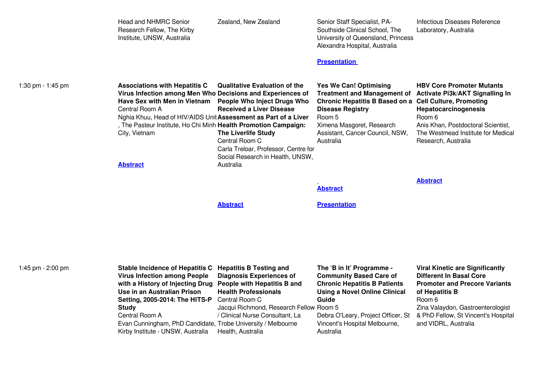|                   | <b>Head and NHMRC Senior</b><br>Research Fellow, The Kirby<br>Institute, UNSW, Australia                                                                                                                                                                                                                                       | Zealand, New Zealand                                                                                                                                                                                                                                   | Senior Staff Specialist, PA-<br>Southside Clinical School, The<br>University of Queensland, Princess<br>Alexandra Hospital, Australia<br><b>Presentation</b>                                                                                                                    | Infectious Diseases Reference<br>Laboratory, Australia                                                                                                                                                                                           |
|-------------------|--------------------------------------------------------------------------------------------------------------------------------------------------------------------------------------------------------------------------------------------------------------------------------------------------------------------------------|--------------------------------------------------------------------------------------------------------------------------------------------------------------------------------------------------------------------------------------------------------|---------------------------------------------------------------------------------------------------------------------------------------------------------------------------------------------------------------------------------------------------------------------------------|--------------------------------------------------------------------------------------------------------------------------------------------------------------------------------------------------------------------------------------------------|
| 1:30 pm - 1:45 pm | <b>Associations with Hepatitis C</b><br>Virus Infection among Men Who Decisions and Experiences of<br>Have Sex with Men in Vietnam<br>Central Room A<br>Nghia Khuu, Head of HIV/AIDS Unit Assessment as Part of a Liver<br>, The Pasteur Institute, Ho Chi Minh Health Promotion Campaign:<br>City, Vietnam<br><b>Abstract</b> | <b>Qualitative Evaluation of the</b><br><b>People Who Inject Drugs Who</b><br><b>Received a Liver Disease</b><br><b>The Liverlife Study</b><br>Central Room C<br>Carla Treloar, Professor, Centre for<br>Social Research in Health, UNSW,<br>Australia | <b>Yes We Can! Optimising</b><br>Treatment and Management of Activate Pi3k/AKT Signalling In<br><b>Chronic Hepatitis B Based on a Cell Culture, Promoting</b><br><b>Disease Registry</b><br>Room 5<br>Ximena Masgoret, Research<br>Assistant, Cancer Council, NSW,<br>Australia | <b>HBV Core Promoter Mutants</b><br>Hepatocarcinogenesis<br>Room 6<br>Anis Khan, Postdoctoral Scientist,<br>The Westmead Institute for Medical<br>Research, Australia                                                                            |
|                   |                                                                                                                                                                                                                                                                                                                                |                                                                                                                                                                                                                                                        | <b>Abstract</b>                                                                                                                                                                                                                                                                 | <b>Abstract</b>                                                                                                                                                                                                                                  |
|                   |                                                                                                                                                                                                                                                                                                                                | <b>Abstract</b>                                                                                                                                                                                                                                        | <b>Presentation</b>                                                                                                                                                                                                                                                             |                                                                                                                                                                                                                                                  |
|                   |                                                                                                                                                                                                                                                                                                                                |                                                                                                                                                                                                                                                        |                                                                                                                                                                                                                                                                                 |                                                                                                                                                                                                                                                  |
| 1:45 pm - 2:00 pm | <b>Stable Incidence of Hepatitis C</b><br><b>Virus Infection among People</b><br>with a History of Injecting Drug<br>Use in an Australian Prison<br>Setting, 2005-2014: The HITS-P<br><b>Study</b><br>Central Room A<br>Evan Cunningham, PhD Candidate, Trobe University / Melbourne<br>Kirby Institute - UNSW, Australia      | <b>Hepatitis B Testing and</b><br><b>Diagnosis Experiences of</b><br>People with Hepatitis B and<br><b>Health Professionals</b><br>Central Room C<br>Jacqui Richmond, Research Fellow Room 5<br>/ Clinical Nurse Consultant, La<br>Health, Australia   | The 'B in It' Programme -<br><b>Community Based Care of</b><br><b>Chronic Hepatitis B Patients</b><br><b>Using a Novel Online Clinical</b><br>Guide<br>Debra O'Leary, Project Officer, St<br>Vincent's Hospital Melbourne,<br>Australia                                         | <b>Viral Kinetic are Significantly</b><br><b>Different In Basal Core</b><br><b>Promoter and Precore Variants</b><br>of Hepatitis B<br>Room 6<br>Zina Valaydon, Gastroenterologist<br>& PhD Fellow, St Vincent's Hospital<br>and VIDRL, Australia |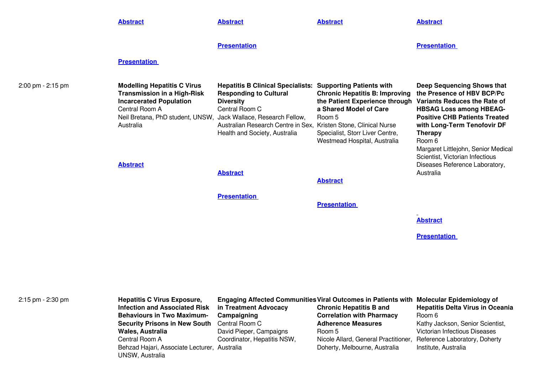|                   | <b>Abstract</b>                                                                                                                                                                                                                 | <b>Abstract</b>                                                                                                                                                                                                                                                  | <b>Abstract</b>                                                                                                                                                                                             | <b>Abstract</b>                                                                                                                                                                                                                                                                                                               |
|-------------------|---------------------------------------------------------------------------------------------------------------------------------------------------------------------------------------------------------------------------------|------------------------------------------------------------------------------------------------------------------------------------------------------------------------------------------------------------------------------------------------------------------|-------------------------------------------------------------------------------------------------------------------------------------------------------------------------------------------------------------|-------------------------------------------------------------------------------------------------------------------------------------------------------------------------------------------------------------------------------------------------------------------------------------------------------------------------------|
|                   |                                                                                                                                                                                                                                 | <b>Presentation</b>                                                                                                                                                                                                                                              |                                                                                                                                                                                                             | <b>Presentation</b>                                                                                                                                                                                                                                                                                                           |
|                   | <b>Presentation</b>                                                                                                                                                                                                             |                                                                                                                                                                                                                                                                  |                                                                                                                                                                                                             |                                                                                                                                                                                                                                                                                                                               |
| 2:00 pm - 2:15 pm | <b>Modelling Hepatitis C Virus</b><br><b>Transmission in a High-Risk</b><br><b>Incarcerated Population</b><br>Central Room A<br>Neil Bretana, PhD student, UNSW, Jack Wallace, Research Fellow,<br>Australia<br><b>Abstract</b> | <b>Hepatitis B Clinical Specialists: Supporting Patients with</b><br><b>Responding to Cultural</b><br><b>Diversity</b><br>Central Room C<br>Australian Research Centre in Sex, Kristen Stone, Clinical Nurse<br>Health and Society, Australia<br><b>Abstract</b> | <b>Chronic Hepatitis B: Improving</b><br>the Patient Experience through Variants Reduces the Rate of<br>a Shared Model of Care<br>Room 5<br>Specialist, Storr Liver Centre,<br>Westmead Hospital, Australia | <b>Deep Sequencing Shows that</b><br>the Presence of HBV BCP/Pc<br><b>HBSAG Loss among HBEAG-</b><br><b>Positive CHB Patients Treated</b><br>with Long-Term Tenofovir DF<br><b>Therapy</b><br>Room 6<br>Margaret Littlejohn, Senior Medical<br>Scientist, Victorian Infectious<br>Diseases Reference Laboratory,<br>Australia |
|                   |                                                                                                                                                                                                                                 |                                                                                                                                                                                                                                                                  | <b>Abstract</b>                                                                                                                                                                                             |                                                                                                                                                                                                                                                                                                                               |
|                   |                                                                                                                                                                                                                                 | <b>Presentation</b>                                                                                                                                                                                                                                              | <b>Presentation</b>                                                                                                                                                                                         |                                                                                                                                                                                                                                                                                                                               |
|                   |                                                                                                                                                                                                                                 |                                                                                                                                                                                                                                                                  |                                                                                                                                                                                                             | <b>Abstract</b>                                                                                                                                                                                                                                                                                                               |
|                   |                                                                                                                                                                                                                                 |                                                                                                                                                                                                                                                                  |                                                                                                                                                                                                             | <b>Presentation</b>                                                                                                                                                                                                                                                                                                           |
|                   |                                                                                                                                                                                                                                 |                                                                                                                                                                                                                                                                  |                                                                                                                                                                                                             |                                                                                                                                                                                                                                                                                                                               |
|                   |                                                                                                                                                                                                                                 |                                                                                                                                                                                                                                                                  |                                                                                                                                                                                                             |                                                                                                                                                                                                                                                                                                                               |
|                   |                                                                                                                                                                                                                                 |                                                                                                                                                                                                                                                                  |                                                                                                                                                                                                             |                                                                                                                                                                                                                                                                                                                               |

| 2:15 pm - 2:30 pm | <b>Hepatitis C Virus Exposure,</b>           | Engaging Affected Communities Viral Outcomes in Patients with Molecular Epidemiology of |                                                                    |                                         |  |
|-------------------|----------------------------------------------|-----------------------------------------------------------------------------------------|--------------------------------------------------------------------|-----------------------------------------|--|
|                   | <b>Infection and Associated Risk</b>         | in Treatment Advocacy                                                                   | <b>Chronic Hepatitis B and</b>                                     | <b>Hepatitis Delta Virus in Oceania</b> |  |
|                   | <b>Behaviours in Two Maximum-</b>            | Campaigning                                                                             | <b>Correlation with Pharmacy</b>                                   | Room 6                                  |  |
|                   | <b>Security Prisons in New South</b>         | Central Room C                                                                          | <b>Adherence Measures</b>                                          | Kathy Jackson, Senior Scientist,        |  |
|                   | <b>Wales, Australia</b>                      | David Pieper, Campaigns                                                                 | Room 5                                                             | Victorian Infectious Diseases           |  |
|                   | Central Room A                               | Coordinator, Hepatitis NSW,                                                             | Nicole Allard, General Practitioner, Reference Laboratory, Doherty |                                         |  |
|                   | Behzad Hajari, Associate Lecturer, Australia |                                                                                         | Doherty, Melbourne, Australia                                      | Institute, Australia                    |  |
|                   | <b>UNSW, Australia</b>                       |                                                                                         |                                                                    |                                         |  |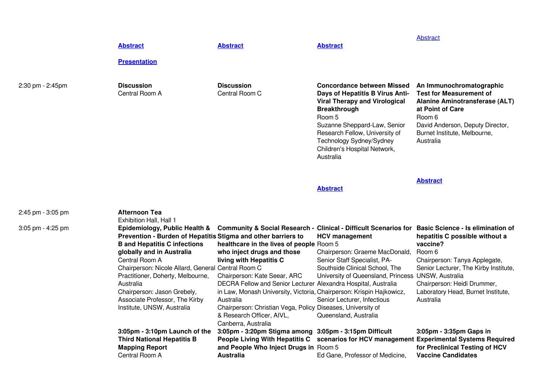|                  | <b>Abstract</b><br><b>Presentation</b> | <b>Abstract</b>                     | <b>Abstract</b>                                                                                                                                                                                                                                                                          | <b>Abstract</b>                                                                                                                                                                                             |
|------------------|----------------------------------------|-------------------------------------|------------------------------------------------------------------------------------------------------------------------------------------------------------------------------------------------------------------------------------------------------------------------------------------|-------------------------------------------------------------------------------------------------------------------------------------------------------------------------------------------------------------|
| 2:30 pm - 2:45pm | <b>Discussion</b><br>Central Room A    | <b>Discussion</b><br>Central Room C | <b>Concordance between Missed</b><br>Days of Hepatitis B Virus Anti-<br><b>Viral Therapy and Virological</b><br><b>Breakthrough</b><br>Room 5<br>Suzanne Sheppard-Law, Senior<br>Research Fellow, University of<br>Technology Sydney/Sydney<br>Children's Hospital Network,<br>Australia | An Immunochromatographic<br><b>Test for Measurement of</b><br>Alanine Aminotransferase (ALT)<br>at Point of Care<br>Room 6<br>David Anderson, Deputy Director,<br>Burnet Institute, Melbourne,<br>Australia |

**[Abstract](https://www.eiseverywhere.com/file_uploads/3c4f89406cb0ce889e4cdc0f7b4b20ff_075_DavidAnderson.pdf)**

| 2:45 pm - 3:05 pm   | Afternoon Tea<br>Exhibition Hall, Hall 1                                                                                              |                                                                                                              |                                                                                                      |                                                                                                                                                                                     |
|---------------------|---------------------------------------------------------------------------------------------------------------------------------------|--------------------------------------------------------------------------------------------------------------|------------------------------------------------------------------------------------------------------|-------------------------------------------------------------------------------------------------------------------------------------------------------------------------------------|
| $3:05$ pm - 4:25 pm | Epidemiology, Public Health &<br>Prevention - Burden of Hepatitis Stigma and other barriers to<br><b>B</b> and Hepatitis C infections | healthcare in the lives of people Room 5                                                                     | <b>Community &amp; Social Research - Clinical - Difficult Scenarios for</b><br><b>HCV</b> management | <b>Basic Science - Is elimination of</b><br>hepatitis C possible without a<br>vaccine?                                                                                              |
|                     | globally and in Australia                                                                                                             | who inject drugs and those                                                                                   | Chairperson: Graeme MacDonald,                                                                       | Room 6                                                                                                                                                                              |
|                     | Central Room A                                                                                                                        | living with Hepatitis C                                                                                      | Senior Staff Specialist, PA-                                                                         | Chairperson: Tanya Applegate,                                                                                                                                                       |
|                     | Chairperson: Nicole Allard, General Central Room C                                                                                    |                                                                                                              | Southside Clinical School, The                                                                       | Senior Lecturer, The Kirby Institute,                                                                                                                                               |
|                     | Practitioner, Doherty, Melbourne,                                                                                                     | Chairperson: Kate Seear, ARC                                                                                 | University of Queensland, Princess UNSW, Australia                                                   |                                                                                                                                                                                     |
|                     | Australia                                                                                                                             | DECRA Fellow and Senior Lecturer Alexandra Hospital, Australia                                               |                                                                                                      | Chairperson: Heidi Drummer,                                                                                                                                                         |
|                     | Chairperson: Jason Grebely,                                                                                                           | in Law, Monash University, Victoria, Chairperson: Krispin Hajkowicz,                                         |                                                                                                      | Laboratory Head, Burnet Institute,                                                                                                                                                  |
|                     | Associate Professor, The Kirby                                                                                                        | Australia                                                                                                    | Senior Lecturer, Infectious                                                                          | Australia                                                                                                                                                                           |
|                     | Institute, UNSW, Australia                                                                                                            | Chairperson: Christian Vega, Policy Diseases, University of                                                  |                                                                                                      |                                                                                                                                                                                     |
|                     |                                                                                                                                       | & Research Officer, AIVL,                                                                                    | Queensland, Australia                                                                                |                                                                                                                                                                                     |
|                     |                                                                                                                                       | Canberra, Australia                                                                                          |                                                                                                      |                                                                                                                                                                                     |
|                     | 3:05pm - 3:10pm Launch of the<br><b>Third National Hepatitis B</b><br><b>Mapping Report</b><br>Central Room A                         | 3:05pm - 3:20pm Stigma among 3:05pm - 3:15pm Difficult<br>and People Who Inject Drugs in Room 5<br>Australia | Ed Gane, Professor of Medicine,                                                                      | 3:05pm - 3:35pm Gaps in<br>People Living With Hepatitis C scenarios for HCV management Experimental Systems Required<br>for Preclinical Testing of HCV<br><b>Vaccine Candidates</b> |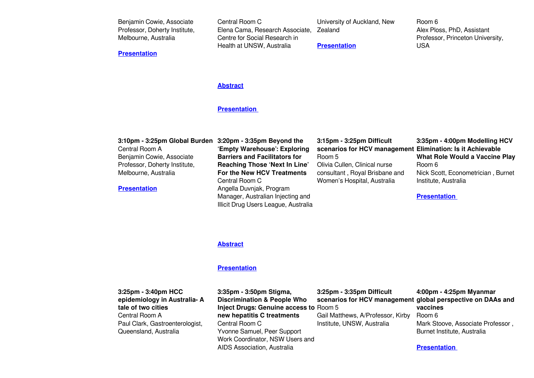| Benjamin Cowie, Associate     | Central Room C                          | University of Auckland, New | Room 6                           |
|-------------------------------|-----------------------------------------|-----------------------------|----------------------------------|
| Professor, Doherty Institute, | Elena Cama, Research Associate, Zealand |                             | Alex Ploss, PhD, Assistant       |
| Melbourne, Australia          | Centre for Social Research in           |                             | Professor, Princeton University, |
|                               | Health at UNSW. Australia               | <b>Presentation</b>         | USA                              |

### **[Abstract](https://www.eiseverywhere.com/file_uploads/b1161d7c84d28ddcd7e1cbd441955bc8_161_CarlaTreloar.pdf)**

## **[Presentation](https://www.eiseverywhere.com/file_uploads/3399f66fbcccdef3d24bb33527c6bbd3_1505FriElenaCama_vMay.pdf)**

| 3:10pm - 3:25pm Global Burden 3:20pm - 3:35pm Beyond the<br>Central Room A | 'Empty Warehouse': Exploring         | 3:15pm - 3:25pm Difficult<br>scenarios for HCV management Elimination: Is it Achievable | 3:35pm - 4:00pm Modelling HCV         |
|----------------------------------------------------------------------------|--------------------------------------|-----------------------------------------------------------------------------------------|---------------------------------------|
| Benjamin Cowie, Associate                                                  | <b>Barriers and Facilitators for</b> | Room 5                                                                                  | <b>What Role Would a Vaccine Play</b> |
| Professor, Doherty Institute,                                              | <b>Reaching Those 'Next In Line'</b> | Olivia Cullen, Clinical nurse                                                           | Room 6                                |
| Melbourne, Australia                                                       | For the New HCV Treatments           | consultant, Royal Brisbane and                                                          | Nick Scott, Econometrician, Burnet    |
|                                                                            | Central Room C                       | Women's Hospital, Australia                                                             | Institute, Australia                  |
| <b>Presentation</b>                                                        | Angella Duvnjak, Program             |                                                                                         |                                       |
|                                                                            | Manager, Australian Injecting and    |                                                                                         | <b>Presentation</b>                   |
|                                                                            | Illicit Drug Users League, Australia |                                                                                         |                                       |

#### **[Abstract](https://www.eiseverywhere.com/file_uploads/d620e1a7dff436ed5b6566b62a616664_085_AngellaDuvnjak.pdf)**

#### **[Presentation](https://www.eiseverywhere.com/file_uploads/64ea411758aacaa913e52b5149b03e70_1520FriAngellaDuvnjak_vMay.pdf)**

**3:25pm - 3:40pm HCC epidemiology in Australia- A tale of two cities** Central Room A Paul Clark, Gastroenterologist, Queensland, Australia

**3:35pm - 3:50pm Stigma, Discrimination & People Who Inject Drugs: Genuine access to** Room 5 **new hepatitis C treatments** Central Room C Yvonne Samuel, Peer Support Work Coordinator, NSW Users and AIDS Association, Australia

**3:25pm - 3:35pm Difficult** Gail Matthews, A/Professor, Kirby

Institute, UNSW, Australia

### **scenarios for HCV management global perspective on DAAs and 4:00pm - 4:25pm Myanmar vaccines** Room 6 Mark Stoove, Associate Professor , Burnet Institute, Australia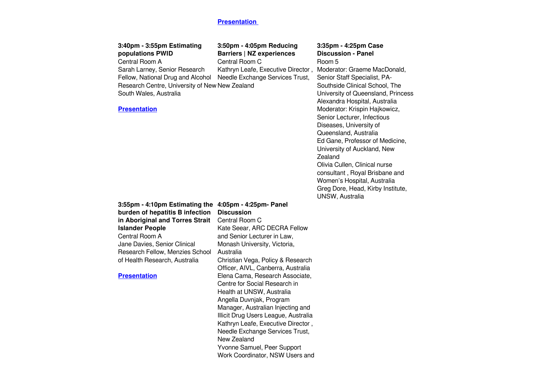| 3:40pm - 3:55pm Estimating<br>populations PWID<br>Central Room A<br>Sarah Larney, Senior Research<br>Fellow, National Drug and Alcohol<br>Research Centre, University of New New Zealand<br>South Wales, Australia<br><b>Presentation</b>                                   | 3:50pm - 4:05pm Reducing<br><b>Barriers   NZ experiences</b><br>Central Room C<br>Kathryn Leafe, Executive Director,<br>Needle Exchange Services Trust,                                                                                                                                                                                                                                                                                                                                                                                                                               | 3:35pm - 4:25pm Case<br><b>Discussion - Panel</b><br>Room 5<br>Moderator: Graeme MacDonald,<br>Senior Staff Specialist, PA-<br>Southside Clinical School, The<br>University of Queensland, Princess<br>Alexandra Hospital, Australia<br>Moderator: Krispin Hajkowicz,<br>Senior Lecturer, Infectious<br>Diseases, University of<br>Queensland, Australia<br>Ed Gane, Professor of Medicine,<br>University of Auckland, New<br>Zealand<br>Olivia Cullen, Clinical nurse<br>consultant, Royal Brisbane and<br>Women's Hospital, Australia<br>Greg Dore, Head, Kirby Institute, |
|-----------------------------------------------------------------------------------------------------------------------------------------------------------------------------------------------------------------------------------------------------------------------------|---------------------------------------------------------------------------------------------------------------------------------------------------------------------------------------------------------------------------------------------------------------------------------------------------------------------------------------------------------------------------------------------------------------------------------------------------------------------------------------------------------------------------------------------------------------------------------------|------------------------------------------------------------------------------------------------------------------------------------------------------------------------------------------------------------------------------------------------------------------------------------------------------------------------------------------------------------------------------------------------------------------------------------------------------------------------------------------------------------------------------------------------------------------------------|
| 3:55pm - 4:10pm Estimating the<br>burden of hepatitis B infection<br>in Aboriginal and Torres Strait<br><b>Islander People</b><br>Central Room A<br>Jane Davies, Senior Clinical<br>Research Fellow, Menzies School<br>of Health Research, Australia<br><b>Presentation</b> | 4:05pm - 4:25pm- Panel<br><b>Discussion</b><br>Central Room C<br>Kate Seear, ARC DECRA Fellow<br>and Senior Lecturer in Law,<br>Monash University, Victoria,<br>Australia<br>Christian Vega, Policy & Research<br>Officer, AIVL, Canberra, Australia<br>Elena Cama, Research Associate,<br>Centre for Social Research in<br>Health at UNSW, Australia<br>Angella Duvnjak, Program<br>Manager, Australian Injecting and<br>Illicit Drug Users League, Australia<br>Kathryn Leafe, Executive Director,<br>Needle Exchange Services Trust,<br>New Zealand<br>Yvonne Samuel, Peer Support | UNSW, Australia                                                                                                                                                                                                                                                                                                                                                                                                                                                                                                                                                              |

Work Coordinator, NSW Users and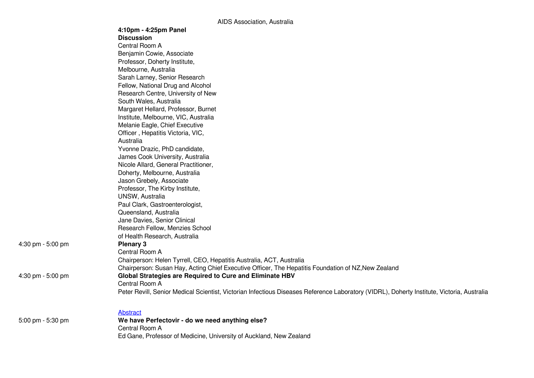|                   | AIDO ASSOCIATION, AUSTRIID                                                                                                                 |
|-------------------|--------------------------------------------------------------------------------------------------------------------------------------------|
|                   | 4:10pm - 4:25pm Panel                                                                                                                      |
|                   | <b>Discussion</b>                                                                                                                          |
|                   | Central Room A                                                                                                                             |
|                   | Benjamin Cowie, Associate                                                                                                                  |
|                   | Professor, Doherty Institute,                                                                                                              |
|                   | Melbourne, Australia                                                                                                                       |
|                   | Sarah Larney, Senior Research                                                                                                              |
|                   | Fellow, National Drug and Alcohol                                                                                                          |
|                   | Research Centre, University of New                                                                                                         |
|                   | South Wales, Australia                                                                                                                     |
|                   | Margaret Hellard, Professor, Burnet                                                                                                        |
|                   | Institute, Melbourne, VIC, Australia                                                                                                       |
|                   | Melanie Eagle, Chief Executive                                                                                                             |
|                   | Officer, Hepatitis Victoria, VIC,                                                                                                          |
|                   | Australia                                                                                                                                  |
|                   | Yvonne Drazic, PhD candidate,                                                                                                              |
|                   | James Cook University, Australia                                                                                                           |
|                   | Nicole Allard, General Practitioner,                                                                                                       |
|                   | Doherty, Melbourne, Australia                                                                                                              |
|                   | Jason Grebely, Associate                                                                                                                   |
|                   | Professor, The Kirby Institute,                                                                                                            |
|                   | UNSW, Australia                                                                                                                            |
|                   | Paul Clark, Gastroenterologist,                                                                                                            |
|                   | Queensland, Australia                                                                                                                      |
|                   | Jane Davies, Senior Clinical                                                                                                               |
|                   | Research Fellow, Menzies School                                                                                                            |
|                   | of Health Research, Australia                                                                                                              |
| 4:30 pm - 5:00 pm | <b>Plenary 3</b>                                                                                                                           |
|                   | Central Room A                                                                                                                             |
|                   | Chairperson: Helen Tyrrell, CEO, Hepatitis Australia, ACT, Australia                                                                       |
|                   | Chairperson: Susan Hay, Acting Chief Executive Officer, The Hepatitis Foundation of NZ, New Zealand                                        |
| 4:30 pm - 5:00 pm | Global Strategies are Required to Cure and Eliminate HBV                                                                                   |
|                   | Central Room A                                                                                                                             |
|                   | Peter Revill, Senior Medical Scientist, Victorian Infectious Diseases Reference Laboratory (VIDRL), Doherty Institute, Victoria, Australia |
|                   | Abstract                                                                                                                                   |
| 5:00 pm - 5:30 pm | We have Perfectovir - do we need anything else?                                                                                            |
|                   | Central Room A                                                                                                                             |
|                   | Ed Gane, Professor of Medicine, University of Auckland, New Zealand                                                                        |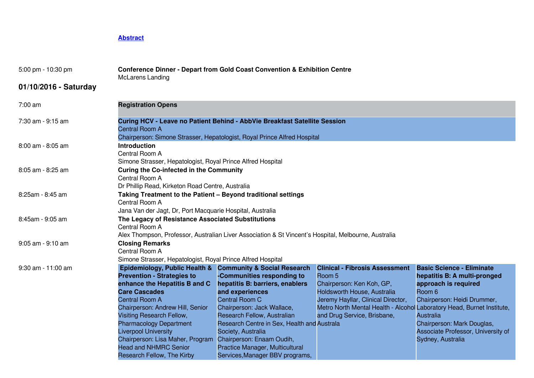| 5:00 pm - 10:30 pm    | <b>Conference Dinner - Depart from Gold Coast Convention &amp; Exhibition Centre</b><br><b>McLarens Landing</b>                                                                                                                                                                                                                                                                                                             |                                                                                                                                                                                                                                                                                                                                         |                                                                                                                                                                                                                                                            |                                                                                                                                                                                                                                                |  |
|-----------------------|-----------------------------------------------------------------------------------------------------------------------------------------------------------------------------------------------------------------------------------------------------------------------------------------------------------------------------------------------------------------------------------------------------------------------------|-----------------------------------------------------------------------------------------------------------------------------------------------------------------------------------------------------------------------------------------------------------------------------------------------------------------------------------------|------------------------------------------------------------------------------------------------------------------------------------------------------------------------------------------------------------------------------------------------------------|------------------------------------------------------------------------------------------------------------------------------------------------------------------------------------------------------------------------------------------------|--|
| 01/10/2016 - Saturday |                                                                                                                                                                                                                                                                                                                                                                                                                             |                                                                                                                                                                                                                                                                                                                                         |                                                                                                                                                                                                                                                            |                                                                                                                                                                                                                                                |  |
| 7:00 am               | <b>Registration Opens</b>                                                                                                                                                                                                                                                                                                                                                                                                   |                                                                                                                                                                                                                                                                                                                                         |                                                                                                                                                                                                                                                            |                                                                                                                                                                                                                                                |  |
| 7:30 am - 9:15 am     | Central Room A                                                                                                                                                                                                                                                                                                                                                                                                              | Curing HCV - Leave no Patient Behind - AbbVie Breakfast Satellite Session<br>Chairperson: Simone Strasser, Hepatologist, Royal Prince Alfred Hospital                                                                                                                                                                                   |                                                                                                                                                                                                                                                            |                                                                                                                                                                                                                                                |  |
| 8:00 am - 8:05 am     | <b>Introduction</b><br>Central Room A<br>Simone Strasser, Hepatologist, Royal Prince Alfred Hospital                                                                                                                                                                                                                                                                                                                        |                                                                                                                                                                                                                                                                                                                                         |                                                                                                                                                                                                                                                            |                                                                                                                                                                                                                                                |  |
| 8:05 am - 8:25 am     | <b>Curing the Co-infected in the Community</b><br>Central Room A<br>Dr Phillip Read, Kirketon Road Centre, Australia                                                                                                                                                                                                                                                                                                        |                                                                                                                                                                                                                                                                                                                                         |                                                                                                                                                                                                                                                            |                                                                                                                                                                                                                                                |  |
| 8:25am - 8:45 am      | Taking Treatment to the Patient - Beyond traditional settings<br>Central Room A<br>Jana Van der Jagt, Dr, Port Macquarie Hospital, Australia                                                                                                                                                                                                                                                                                |                                                                                                                                                                                                                                                                                                                                         |                                                                                                                                                                                                                                                            |                                                                                                                                                                                                                                                |  |
| 8:45am - 9:05 am      | The Legacy of Resistance Associated Substitutions<br>Central Room A<br>Alex Thompson, Professor, Australian Liver Association & St Vincent's Hospital, Melbourne, Australia                                                                                                                                                                                                                                                 |                                                                                                                                                                                                                                                                                                                                         |                                                                                                                                                                                                                                                            |                                                                                                                                                                                                                                                |  |
| 9:05 am - 9:10 am     | <b>Closing Remarks</b><br>Central Room A<br>Simone Strasser, Hepatologist, Royal Prince Alfred Hospital                                                                                                                                                                                                                                                                                                                     |                                                                                                                                                                                                                                                                                                                                         |                                                                                                                                                                                                                                                            |                                                                                                                                                                                                                                                |  |
| 9:30 am - 11:00 am    | Epidemiology, Public Health & Community & Social Research<br><b>Prevention - Strategies to</b><br>enhance the Hepatitis B and C<br><b>Care Cascades</b><br><b>Central Room A</b><br>Chairperson: Andrew Hill, Senior<br><b>Visiting Research Fellow,</b><br><b>Pharmacology Department</b><br><b>Liverpool University</b><br>Chairperson: Lisa Maher, Program<br><b>Head and NHMRC Senior</b><br>Research Fellow, The Kirby | -Communities responding to<br>hepatitis B: barriers, enablers<br>and experiences<br>Central Room C<br>Chairperson: Jack Wallace,<br>Research Fellow, Australian<br>Research Centre in Sex, Health and Australa<br>Society, Australia<br>Chairperson: Enaam Oudih,<br>Practice Manager, Multicultural<br>Services, Manager BBV programs, | <b>Clinical - Fibrosis Assessment</b><br>Room 5<br>Chairperson: Ken Koh, GP,<br>Holdsworth House, Australia<br>Jeremy Hayllar, Clinical Director,<br>Metro North Mental Health - Alcohol Laboratory Head, Burnet Institute,<br>and Drug Service, Brisbane, | <b>Basic Science - Eliminate</b><br>hepatitis B: A multi-pronged<br>approach is required<br>Room 6<br>Chairperson: Heidi Drummer,<br><b>Australia</b><br>Chairperson: Mark Douglas,<br>Associate Professor, University of<br>Sydney, Australia |  |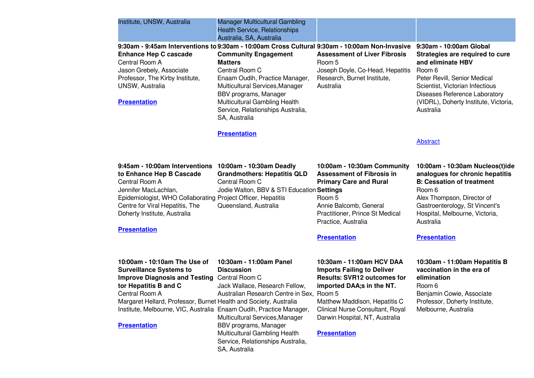| Institute, UNSW, Australia                                                                                                                                                                                                                                                                                                          | <b>Manager Multicultural Gambling</b><br>Health Service, Relationships<br>Australia, SA, Australia                                                                                                                                                                                                                                                            |                                                                                                                                                                                                                                                                 |                                                                                                                                                                                                                                                        |
|-------------------------------------------------------------------------------------------------------------------------------------------------------------------------------------------------------------------------------------------------------------------------------------------------------------------------------------|---------------------------------------------------------------------------------------------------------------------------------------------------------------------------------------------------------------------------------------------------------------------------------------------------------------------------------------------------------------|-----------------------------------------------------------------------------------------------------------------------------------------------------------------------------------------------------------------------------------------------------------------|--------------------------------------------------------------------------------------------------------------------------------------------------------------------------------------------------------------------------------------------------------|
| <b>Enhance Hep C cascade</b><br>Central Room A<br>Jason Grebely, Associate<br>Professor, The Kirby Institute,<br>UNSW, Australia<br><b>Presentation</b>                                                                                                                                                                             | 9:30am - 9:45am Interventions to 9:30am - 10:00am Cross Cultural 9:30am - 10:00am Non-Invasive<br><b>Community Engagement</b><br><b>Matters</b><br>Central Room C<br>Enaam Oudih, Practice Manager,<br>Multicultural Services, Manager<br>BBV programs, Manager<br><b>Multicultural Gambling Health</b><br>Service, Relationships Australia,<br>SA, Australia | <b>Assessment of Liver Fibrosis</b><br>Room 5<br>Joseph Doyle, Co-Head, Hepatitis<br>Research, Burnet Institute,<br>Australia                                                                                                                                   | 9:30am - 10:00am Global<br>Strategies are required to cure<br>and eliminate HBV<br>Room 6<br>Peter Revill, Senior Medical<br>Scientist, Victorian Infectious<br>Diseases Reference Laboratory<br>(VIDRL), Doherty Institute, Victoria,<br>Australia    |
|                                                                                                                                                                                                                                                                                                                                     | <b>Presentation</b>                                                                                                                                                                                                                                                                                                                                           |                                                                                                                                                                                                                                                                 | <b>Abstract</b>                                                                                                                                                                                                                                        |
| 9:45am - 10:00am Interventions 10:00am - 10:30am Deadly<br>to Enhance Hep B Cascade<br>Central Room A<br>Jennifer MacLachlan,<br>Epidemiologist, WHO Collaborating Project Officer, Hepatitis<br>Centre for Viral Hepatitis, The<br>Doherty Institute, Australia<br><b>Presentation</b>                                             | <b>Grandmothers: Hepatitis QLD</b><br>Central Room C<br>Jodie Walton, BBV & STI Education Settings<br>Queensland, Australia                                                                                                                                                                                                                                   | 10:00am - 10:30am Community<br><b>Assessment of Fibrosis in</b><br><b>Primary Care and Rural</b><br>Room 5<br>Annie Balcomb, General<br>Practitioner, Prince St Medical<br>Practice, Australia<br><b>Presentation</b>                                           | 10:00am - 10:30am Nucleos(t)ide<br>analogues for chronic hepatitis<br><b>B: Cessation of treatment</b><br>Room 6<br>Alex Thompson, Director of<br>Gastroenterology, St Vincent's<br>Hospital, Melbourne, Victoria,<br>Australia<br><b>Presentation</b> |
| 10:00am - 10:10am The Use of<br><b>Surveillance Systems to</b><br><b>Improve Diagnosis and Testing Central Room C</b><br>tor Hepatitis B and C<br>Central Room A<br>Margaret Hellard, Professor, Burnet Health and Society, Australia<br>Institute, Melbourne, VIC, Australia Enaam Oudih, Practice Manager,<br><b>Presentation</b> | 10:30am - 11:00am Panel<br><b>Discussion</b><br>Jack Wallace, Research Fellow,<br>Australian Research Centre in Sex, Room 5<br>Multicultural Services, Manager<br>BBV programs, Manager<br>Multicultural Gambling Health<br>Service, Relationships Australia,<br>SA, Australia                                                                                | 10:30am - 11:00am HCV DAA<br><b>Imports Failing to Deliver</b><br><b>Results: SVR12 outcomes for</b><br>imported DAA;s in the NT.<br>Matthew Maddison, Hepatitis C<br>Clinical Nurse Consultant, Royal<br>Darwin Hospital, NT, Australia<br><b>Presentation</b> | 10:30am - 11:00am Hepatitis B<br>vaccination in the era of<br>elimination<br>Room 6<br>Benjamin Cowie, Associate<br>Professor, Doherty Institute,<br>Melbourne, Australia                                                                              |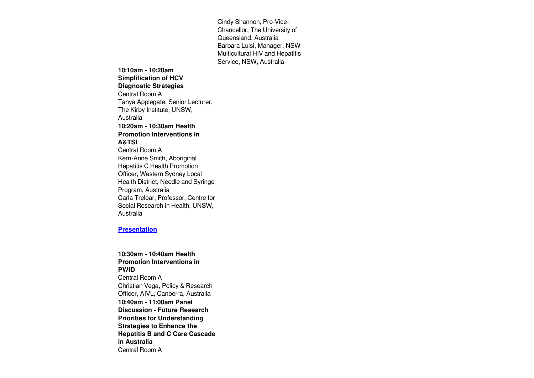Cindy Shannon, Pro-Vice-Chancellor, The University of Queensland, Australia Barbara Luisi, Manager, NSW Multicultural HIV and Hepatitis Service, NSW, Australia

**10:10am - 10:20am Simplification of HCV Diagnostic Strategies**  Central Room A Tanya Applegate, Senior Lecturer, The Kirby Institute, UNSW, Australia **10:20am - 10:30am Health Promotion Interventions in A&TSI** Central Room A Kerri-Anne Smith, Aboriginal Hepatitis C Health Promotion Officer, Western Sydney Local Health District, Needle and Syringe Program, Australia Carla Treloar, Professor, Centre for Social Research in Health, UNSW, Australia

#### **[Presentation](https://www.eiseverywhere.com/file_uploads/ece0f581214b454b229cf003b18735b2_1020SatKerri-AnneSmithCarlaTreloar_pdf.pdf)**

## **10:30am - 10:40am Health Promotion Interventions in PWID** Central Room A Christian Vega, Policy & Research Officer, AIVL, Canberra, Australia **10:40am - 11:00am Panel Discussion - Future Research Priorities for Understanding Strategies to Enhance the Hepatitis B and C Care Cascade in Australia** Central Room A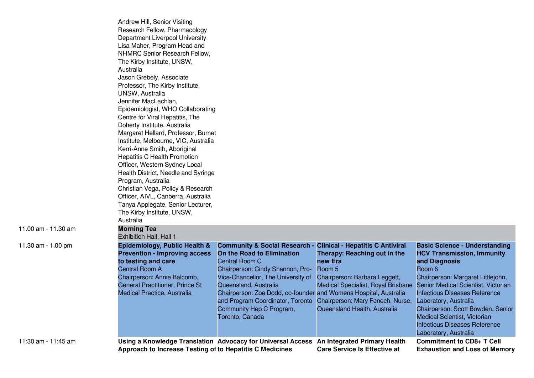|                     | Andrew Hill, Senior Visiting<br>Research Fellow, Pharmacology<br>Department Liverpool University<br>Lisa Maher, Program Head and<br>NHMRC Senior Research Fellow,<br>The Kirby Institute, UNSW,<br>Australia<br>Jason Grebely, Associate<br>Professor, The Kirby Institute,<br><b>UNSW, Australia</b><br>Jennifer MacLachlan,<br>Epidemiologist, WHO Collaborating<br>Centre for Viral Hepatitis, The<br>Doherty Institute, Australia<br>Margaret Hellard, Professor, Burnet<br>Institute, Melbourne, VIC, Australia<br>Kerri-Anne Smith, Aboriginal<br><b>Hepatitis C Health Promotion</b><br>Officer, Western Sydney Local<br>Health District, Needle and Syringe<br>Program, Australia<br>Christian Vega, Policy & Research<br>Officer, AIVL, Canberra, Australia<br>Tanya Applegate, Senior Lecturer,<br>The Kirby Institute, UNSW, |                                                                                                                                                                                                                                                                                                                |                                                                                                                                                                                                                                                                          |                                                                                                                                                                                                                                                                                                                                                                                                |
|---------------------|-----------------------------------------------------------------------------------------------------------------------------------------------------------------------------------------------------------------------------------------------------------------------------------------------------------------------------------------------------------------------------------------------------------------------------------------------------------------------------------------------------------------------------------------------------------------------------------------------------------------------------------------------------------------------------------------------------------------------------------------------------------------------------------------------------------------------------------------|----------------------------------------------------------------------------------------------------------------------------------------------------------------------------------------------------------------------------------------------------------------------------------------------------------------|--------------------------------------------------------------------------------------------------------------------------------------------------------------------------------------------------------------------------------------------------------------------------|------------------------------------------------------------------------------------------------------------------------------------------------------------------------------------------------------------------------------------------------------------------------------------------------------------------------------------------------------------------------------------------------|
| 11.00 am - 11.30 am | Australia<br><b>Morning Tea</b>                                                                                                                                                                                                                                                                                                                                                                                                                                                                                                                                                                                                                                                                                                                                                                                                         |                                                                                                                                                                                                                                                                                                                |                                                                                                                                                                                                                                                                          |                                                                                                                                                                                                                                                                                                                                                                                                |
|                     | Exhibition Hall, Hall 1                                                                                                                                                                                                                                                                                                                                                                                                                                                                                                                                                                                                                                                                                                                                                                                                                 |                                                                                                                                                                                                                                                                                                                |                                                                                                                                                                                                                                                                          |                                                                                                                                                                                                                                                                                                                                                                                                |
| 11.30 am - 1.00 pm  | Epidemiology, Public Health &<br><b>Prevention - Improving access</b><br>to testing and care<br><b>Central Room A</b><br>Chairperson: Annie Balcomb,<br>General Practitioner, Prince St<br>Medical Practice, Australia                                                                                                                                                                                                                                                                                                                                                                                                                                                                                                                                                                                                                  | <b>Community &amp; Social Research -</b><br>On the Road to Elimination<br>Central Room C<br>Chairperson: Cindy Shannon, Pro-<br>Vice-Chancellor, The University of<br>Queensland, Australia<br>Chairperson: Zoe Dodd, co-founder and Womens Hospital, Australia<br>Community Hep C Program,<br>Toronto, Canada | <b>Clinical - Hepatitis C Antiviral</b><br>Therapy: Reaching out in the<br>new Era<br>Room 5<br>Chairperson: Barbara Leggett,<br>Medical Specialist, Royal Brisbane<br>and Program Coordinator, Toronto Chairperson: Mary Fenech, Nurse,<br>Queensland Health, Australia | <b>Basic Science - Understanding</b><br><b>HCV Transmission, Immunity</b><br>and Diagnosis<br>Room 6<br>Chairperson: Margaret Littlejohn,<br>Senior Medical Scientist, Victorian<br><b>Infectious Diseases Reference</b><br>Laboratory, Australia<br>Chairperson: Scott Bowden, Senior<br><b>Medical Scientist, Victorian</b><br><b>Infectious Diseases Reference</b><br>Laboratory, Australia |
| 11:30 am - 11:45 am | Approach to Increase Testing of to Hepatitis C Medicines                                                                                                                                                                                                                                                                                                                                                                                                                                                                                                                                                                                                                                                                                                                                                                                | Using a Knowledge Translation Advocacy for Universal Access                                                                                                                                                                                                                                                    | An Integrated Primary Health<br><b>Care Service Is Effective at</b>                                                                                                                                                                                                      | <b>Commitment to CD8+ T Cell</b><br><b>Exhaustion and Loss of Memory</b>                                                                                                                                                                                                                                                                                                                       |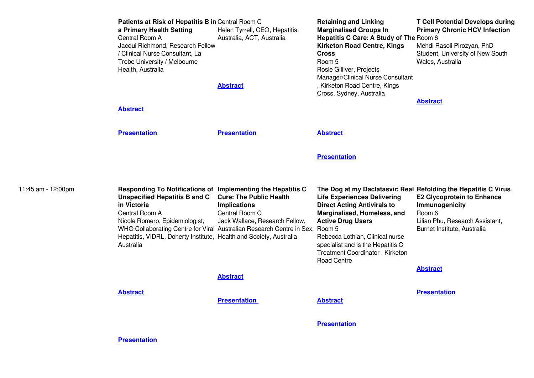|                    | Patients at Risk of Hepatitis B in Central Room C<br>a Primary Health Setting<br>Central Room A<br>Jacqui Richmond, Research Fellow<br>/ Clinical Nurse Consultant, La<br>Trobe University / Melbourne<br>Health, Australia<br><b>Abstract</b>                                                                                     | Helen Tyrrell, CEO, Hepatitis<br>Australia, ACT, Australia<br><b>Abstract</b>                             | <b>Retaining and Linking</b><br><b>Marginalised Groups In</b><br>Hepatitis C Care: A Study of The Room 6<br><b>Kirketon Road Centre, Kings</b><br><b>Cross</b><br>Room 5<br>Rosie Gilliver, Projects<br>Manager/Clinical Nurse Consultant<br>, Kirketon Road Centre, Kings<br>Cross, Sydney, Australia                                            | <b>T Cell Potential Develops during</b><br><b>Primary Chronic HCV Infection</b><br>Mehdi Rasoli Pirozyan, PhD<br>Student, University of New South<br>Wales, Australia<br><b>Abstract</b> |
|--------------------|------------------------------------------------------------------------------------------------------------------------------------------------------------------------------------------------------------------------------------------------------------------------------------------------------------------------------------|-----------------------------------------------------------------------------------------------------------|---------------------------------------------------------------------------------------------------------------------------------------------------------------------------------------------------------------------------------------------------------------------------------------------------------------------------------------------------|------------------------------------------------------------------------------------------------------------------------------------------------------------------------------------------|
|                    | <b>Presentation</b>                                                                                                                                                                                                                                                                                                                | <b>Presentation</b>                                                                                       | <b>Abstract</b>                                                                                                                                                                                                                                                                                                                                   |                                                                                                                                                                                          |
|                    |                                                                                                                                                                                                                                                                                                                                    |                                                                                                           | <b>Presentation</b>                                                                                                                                                                                                                                                                                                                               |                                                                                                                                                                                          |
| 11:45 am - 12:00pm | Responding To Notifications of Implementing the Hepatitis C<br><b>Unspecified Hepatitis B and C</b><br>in Victoria<br>Central Room A<br>Nicole Romero, Epidemiologist,<br>WHO Collaborating Centre for Viral Australian Research Centre in Sex,<br>Hepatitis, VIDRL, Doherty Institute, Health and Society, Australia<br>Australia | <b>Cure: The Public Health</b><br><b>Implications</b><br>Central Room C<br>Jack Wallace, Research Fellow, | The Dog at my Daclatasvir: Real Refolding the Hepatitis C Virus<br><b>Life Experiences Delivering</b><br><b>Direct Acting Antivirals to</b><br>Marginalised, Homeless, and<br><b>Active Drug Users</b><br>Room 5<br>Rebecca Lothian, Clinical nurse<br>specialist and is the Hepatitis C<br>Treatment Coordinator, Kirketon<br><b>Road Centre</b> | <b>E2 Glycoprotein to Enhance</b><br>Immunogenicity<br>Room 6<br>Lilian Phu, Research Assistant,<br>Burnet Institute, Australia                                                          |
|                    |                                                                                                                                                                                                                                                                                                                                    | <b>Abstract</b>                                                                                           |                                                                                                                                                                                                                                                                                                                                                   | <b>Abstract</b>                                                                                                                                                                          |
|                    | <b>Abstract</b>                                                                                                                                                                                                                                                                                                                    | <b>Presentation</b>                                                                                       | <b>Abstract</b>                                                                                                                                                                                                                                                                                                                                   | <b>Presentation</b>                                                                                                                                                                      |
|                    |                                                                                                                                                                                                                                                                                                                                    |                                                                                                           | <b>Presentation</b>                                                                                                                                                                                                                                                                                                                               |                                                                                                                                                                                          |
|                    | <b>Presentation</b>                                                                                                                                                                                                                                                                                                                |                                                                                                           |                                                                                                                                                                                                                                                                                                                                                   |                                                                                                                                                                                          |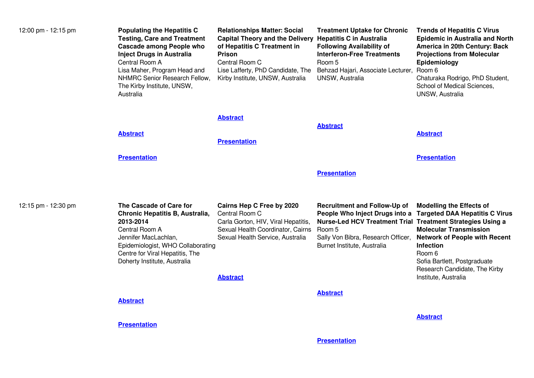| 12:00 pm - 12:15 pm | <b>Populating the Hepatitis C</b><br><b>Testing, Care and Treatment</b><br><b>Cascade among People who</b><br><b>Inject Drugs in Australia</b><br>Central Room A<br>Lisa Maher, Program Head and<br>NHMRC Senior Research Fellow,<br>The Kirby Institute, UNSW,<br>Australia | <b>Relationships Matter: Social</b><br><b>Capital Theory and the Delivery</b><br>of Hepatitis C Treatment in<br>Prison<br>Central Room C<br>Lise Lafferty, PhD Candidate, The<br>Kirby Institute, UNSW, Australia | <b>Treatment Uptake for Chronic</b><br><b>Hepatitis C in Australia</b><br><b>Following Availability of</b><br><b>Interferon-Free Treatments</b><br>Room 5<br>Behzad Hajari, Associate Lecturer, Room 6<br>UNSW, Australia | <b>Trends of Hepatitis C Virus</b><br><b>Epidemic in Australia and North</b><br>America in 20th Century: Back<br><b>Projections from Molecular</b><br>Epidemiology<br>Chaturaka Rodrigo, PhD Student,<br>School of Medical Sciences,<br>UNSW, Australia                  |
|---------------------|------------------------------------------------------------------------------------------------------------------------------------------------------------------------------------------------------------------------------------------------------------------------------|-------------------------------------------------------------------------------------------------------------------------------------------------------------------------------------------------------------------|---------------------------------------------------------------------------------------------------------------------------------------------------------------------------------------------------------------------------|--------------------------------------------------------------------------------------------------------------------------------------------------------------------------------------------------------------------------------------------------------------------------|
|                     | <b>Abstract</b>                                                                                                                                                                                                                                                              | <b>Abstract</b><br><b>Presentation</b>                                                                                                                                                                            | <b>Abstract</b>                                                                                                                                                                                                           | <b>Abstract</b>                                                                                                                                                                                                                                                          |
|                     | <b>Presentation</b>                                                                                                                                                                                                                                                          |                                                                                                                                                                                                                   |                                                                                                                                                                                                                           | <b>Presentation</b>                                                                                                                                                                                                                                                      |
|                     |                                                                                                                                                                                                                                                                              |                                                                                                                                                                                                                   | <b>Presentation</b>                                                                                                                                                                                                       |                                                                                                                                                                                                                                                                          |
| 12:15 pm - 12:30 pm | The Cascade of Care for<br>Chronic Hepatitis B, Australia,<br>2013-2014<br>Central Room A<br>Jennifer MacLachlan,<br>Epidemiologist, WHO Collaborating<br>Centre for Viral Hepatitis, The<br>Doherty Institute, Australia                                                    | Cairns Hep C Free by 2020<br>Central Room C<br>Carla Gorton, HIV, Viral Hepatitis,<br>Sexual Health Coordinator, Cairns<br>Sexual Health Service, Australia<br><b>Abstract</b>                                    | <b>Recruitment and Follow-Up of</b><br>People Who Inject Drugs into a<br><b>Nurse-Led HCV Treatment Trial Treatment Strategies Using a</b><br>Room 5<br>Sally Von Bibra, Research Officer,<br>Burnet Institute, Australia | <b>Modelling the Effects of</b><br><b>Targeted DAA Hepatitis C Virus</b><br><b>Molecular Transmission</b><br><b>Network of People with Recent</b><br><b>Infection</b><br>Room 6<br>Sofia Bartlett, Postgraduate<br>Research Candidate, The Kirby<br>Institute, Australia |
|                     | <b>Abstract</b>                                                                                                                                                                                                                                                              |                                                                                                                                                                                                                   | <b>Abstract</b>                                                                                                                                                                                                           |                                                                                                                                                                                                                                                                          |
|                     | <b>Presentation</b>                                                                                                                                                                                                                                                          |                                                                                                                                                                                                                   |                                                                                                                                                                                                                           | <b>Abstract</b>                                                                                                                                                                                                                                                          |
|                     |                                                                                                                                                                                                                                                                              |                                                                                                                                                                                                                   | <b>Presentation</b>                                                                                                                                                                                                       |                                                                                                                                                                                                                                                                          |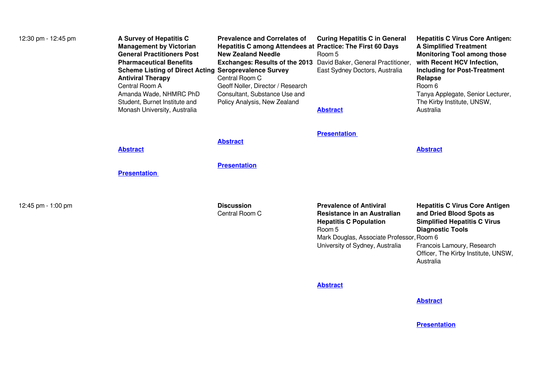| 12:30 pm - 12:45 pm | A Survey of Hepatitis C<br><b>Management by Victorian</b><br><b>General Practitioners Post</b><br><b>Pharmaceutical Benefits</b><br><b>Scheme Listing of Direct Acting Seroprevalence Survey</b><br><b>Antiviral Therapy</b><br>Central Room A<br>Amanda Wade, NHMRC PhD<br>Student, Burnet Institute and<br>Monash University, Australia | <b>Prevalence and Correlates of</b><br>Hepatitis C among Attendees at Practice: The First 60 Days<br><b>New Zealand Needle</b><br><b>Exchanges: Results of the 2013</b><br>Central Room C<br>Geoff Noller, Director / Research<br>Consultant, Substance Use and<br>Policy Analysis, New Zealand | <b>Curing Hepatitis C in General</b><br>Room 5<br>David Baker, General Practitioner,<br>East Sydney Doctors, Australia<br><b>Abstract</b>                                                | <b>Hepatitis C Virus Core Antigen:</b><br><b>A Simplified Treatment</b><br><b>Monitoring Tool among those</b><br>with Recent HCV Infection,<br><b>Including for Post-Treatment</b><br><b>Relapse</b><br>Room 6<br>Tanya Applegate, Senior Lecturer,<br>The Kirby Institute, UNSW,<br>Australia |
|---------------------|-------------------------------------------------------------------------------------------------------------------------------------------------------------------------------------------------------------------------------------------------------------------------------------------------------------------------------------------|-------------------------------------------------------------------------------------------------------------------------------------------------------------------------------------------------------------------------------------------------------------------------------------------------|------------------------------------------------------------------------------------------------------------------------------------------------------------------------------------------|------------------------------------------------------------------------------------------------------------------------------------------------------------------------------------------------------------------------------------------------------------------------------------------------|
|                     | <b>Abstract</b><br><b>Presentation</b>                                                                                                                                                                                                                                                                                                    | <b>Abstract</b><br><b>Presentation</b>                                                                                                                                                                                                                                                          | <b>Presentation</b>                                                                                                                                                                      | <b>Abstract</b>                                                                                                                                                                                                                                                                                |
| 12:45 pm - 1:00 pm  |                                                                                                                                                                                                                                                                                                                                           | <b>Discussion</b><br>Central Room C                                                                                                                                                                                                                                                             | <b>Prevalence of Antiviral</b><br>Resistance in an Australian<br><b>Hepatitis C Population</b><br>Room 5<br>Mark Douglas, Associate Professor, Room 6<br>University of Sydney, Australia | <b>Hepatitis C Virus Core Antigen</b><br>and Dried Blood Spots as<br><b>Simplified Hepatitis C Virus</b><br><b>Diagnostic Tools</b><br>Francois Lamoury, Research<br>Officer, The Kirby Institute, UNSW,<br>Australia                                                                          |

**[Abstract](https://www.eiseverywhere.com/file_uploads/179fdfb1d59a6631cf8e36390a9c5d46_158_FrancoisLamoury.pdf)**